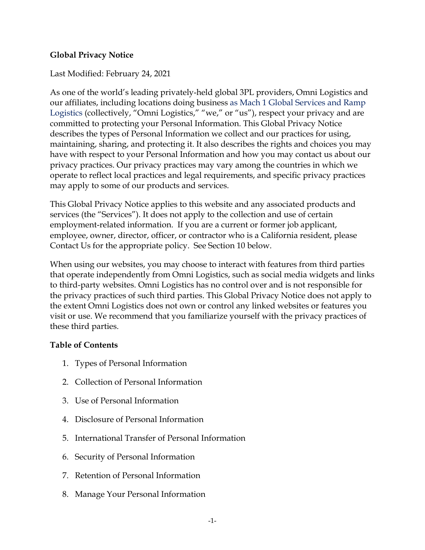### **Global Privacy Notice**

### Last Modified: February 24, 2021

As one of the world's leading privately-held global 3PL providers, Omni Logistics and our affiliates, including locations doing business as Mach 1 Global Services and Ramp Logistics (collectively, "Omni Logistics," "we," or "us"), respect your privacy and are committed to protecting your Personal Information. This Global Privacy Notice describes the types of Personal Information we collect and our practices for using, maintaining, sharing, and protecting it. It also describes the rights and choices you may have with respect to your Personal Information and how you may contact us about our privacy practices. Our privacy practices may vary among the countries in which we operate to reflect local practices and legal requirements, and specific privacy practices may apply to some of our products and services.

This Global Privacy Notice applies to this website and any associated products and services (the "Services"). It does not apply to the collection and use of certain employment-related information. If you are a current or former job applicant, employee, owner, director, officer, or contractor who is a California resident, please Contact Us for the appropriate policy. See Section 10 below.

When using our websites, you may choose to interact with features from third parties that operate independently from Omni Logistics, such as social media widgets and links to third-party websites. Omni Logistics has no control over and is not responsible for the privacy practices of such third parties. This Global Privacy Notice does not apply to the extent Omni Logistics does not own or control any linked websites or features you visit or use. We recommend that you familiarize yourself with the privacy practices of these third parties.

#### **Table of Contents**

- 1. Types of Personal Information
- 2. Collection of Personal Information
- 3. Use of Personal Information
- 4. Disclosure of Personal Information
- 5. International Transfer of Personal Information
- 6. Security of Personal Information
- 7. Retention of Personal Information
- 8. Manage Your Personal Information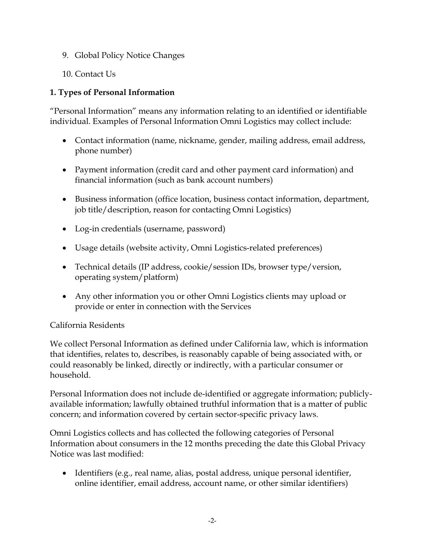- 9. Global Policy Notice Changes
- 10. Contact Us

### **1. Types of Personal Information**

"Personal Information" means any information relating to an identified or identifiable individual. Examples of Personal Information Omni Logistics may collect include:

- Contact information (name, nickname, gender, mailing address, email address, phone number)
- Payment information (credit card and other payment card information) and financial information (such as bank account numbers)
- Business information (office location, business contact information, department, job title/description, reason for contacting Omni Logistics)
- Log-in credentials (username, password)
- Usage details (website activity, Omni Logistics-related preferences)
- Technical details (IP address, cookie/session IDs, browser type/version, operating system/platform)
- Any other information you or other Omni Logistics clients may upload or provide or enter in connection with the Services

# California Residents

We collect Personal Information as defined under California law, which is information that identifies, relates to, describes, is reasonably capable of being associated with, or could reasonably be linked, directly or indirectly, with a particular consumer or household.

Personal Information does not include de-identified or aggregate information; publiclyavailable information; lawfully obtained truthful information that is a matter of public concern; and information covered by certain sector-specific privacy laws.

Omni Logistics collects and has collected the following categories of Personal Information about consumers in the 12 months preceding the date this Global Privacy Notice was last modified:

• Identifiers (e.g., real name, alias, postal address, unique personal identifier, online identifier, email address, account name, or other similar identifiers)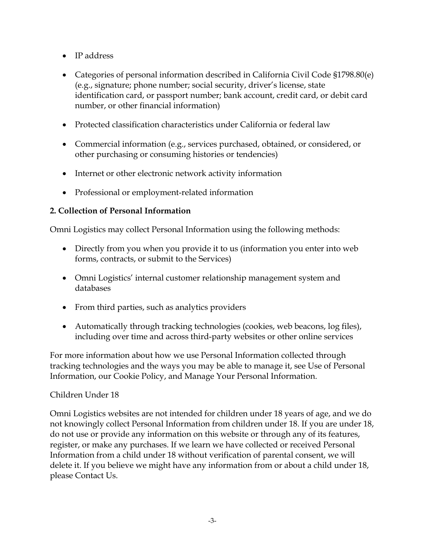- IP address
- Categories of personal information described in California Civil Code §1798.80(e) (e.g., signature; phone number; social security, driver's license, state identification card, or passport number; bank account, credit card, or debit card number, or other financial information)
- Protected classification characteristics under California or federal law
- Commercial information (e.g., services purchased, obtained, or considered, or other purchasing or consuming histories or tendencies)
- Internet or other electronic network activity information
- Professional or employment-related information

# **2. Collection of Personal Information**

Omni Logistics may collect Personal Information using the following methods:

- Directly from you when you provide it to us (information you enter into web forms, contracts, or submit to the Services)
- Omni Logistics' internal customer relationship management system and databases
- From third parties, such as analytics providers
- Automatically through tracking technologies (cookies, web beacons, log files), including over time and across third-party websites or other online services

For more information about how we use Personal Information collected through tracking technologies and the ways you may be able to manage it, see Use of Personal Information, our Cookie Policy, and Manage Your Personal Information.

# Children Under 18

Omni Logistics websites are not intended for children under 18 years of age, and we do not knowingly collect Personal Information from children under 18. If you are under 18, do not use or provide any information on this website or through any of its features, register, or make any purchases. If we learn we have collected or received Personal Information from a child under 18 without verification of parental consent, we will delete it. If you believe we might have any information from or about a child under 18, please Contact Us.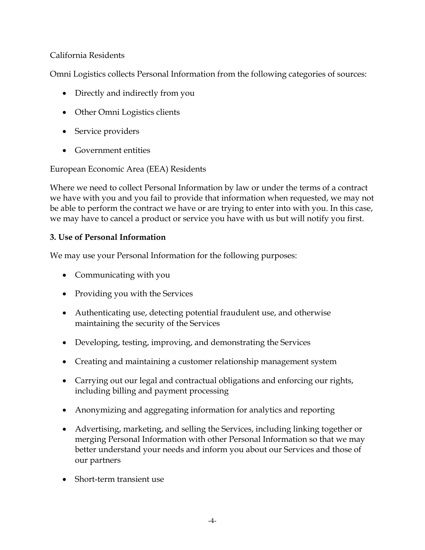### California Residents

Omni Logistics collects Personal Information from the following categories of sources:

- Directly and indirectly from you
- Other Omni Logistics clients
- Service providers
- Government entities

European Economic Area (EEA) Residents

Where we need to collect Personal Information by law or under the terms of a contract we have with you and you fail to provide that information when requested, we may not be able to perform the contract we have or are trying to enter into with you. In this case, we may have to cancel a product or service you have with us but will notify you first.

# **3. Use of Personal Information**

We may use your Personal Information for the following purposes:

- Communicating with you
- Providing you with the Services
- Authenticating use, detecting potential fraudulent use, and otherwise maintaining the security of the Services
- Developing, testing, improving, and demonstrating the Services
- Creating and maintaining a customer relationship management system
- Carrying out our legal and contractual obligations and enforcing our rights, including billing and payment processing
- Anonymizing and aggregating information for analytics and reporting
- Advertising, marketing, and selling the Services, including linking together or merging Personal Information with other Personal Information so that we may better understand your needs and inform you about our Services and those of our partners
- Short-term transient use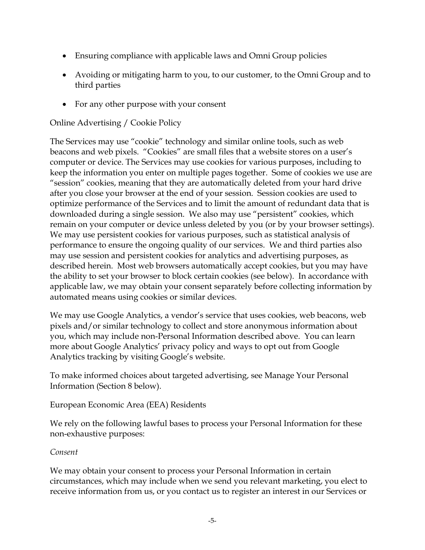- Ensuring compliance with applicable laws and Omni Group policies
- Avoiding or mitigating harm to you, to our customer, to the Omni Group and to third parties
- For any other purpose with your consent

## Online Advertising / Cookie Policy

The Services may use "cookie" technology and similar online tools, such as web beacons and web pixels. "Cookies" are small files that a website stores on a user's computer or device. The Services may use cookies for various purposes, including to keep the information you enter on multiple pages together. Some of cookies we use are "session" cookies, meaning that they are automatically deleted from your hard drive after you close your browser at the end of your session. Session cookies are used to optimize performance of the Services and to limit the amount of redundant data that is downloaded during a single session. We also may use "persistent" cookies, which remain on your computer or device unless deleted by you (or by your browser settings). We may use persistent cookies for various purposes, such as statistical analysis of performance to ensure the ongoing quality of our services. We and third parties also may use session and persistent cookies for analytics and advertising purposes, as described herein. Most web browsers automatically accept cookies, but you may have the ability to set your browser to block certain cookies (see below). In accordance with applicable law, we may obtain your consent separately before collecting information by automated means using cookies or similar devices.

We may use Google Analytics, a vendor's service that uses cookies, web beacons, web pixels and/or similar technology to collect and store anonymous information about you, which may include non-Personal Information described above. You can learn more about Google Analytics' privacy policy and ways to opt out from Google Analytics tracking by visiting Google's website.

To make informed choices about targeted advertising, see Manage Your Personal Information (Section 8 below).

European Economic Area (EEA) Residents

We rely on the following lawful bases to process your Personal Information for these non-exhaustive purposes:

#### *Consent*

We may obtain your consent to process your Personal Information in certain circumstances, which may include when we send you relevant marketing, you elect to receive information from us, or you contact us to register an interest in our Services or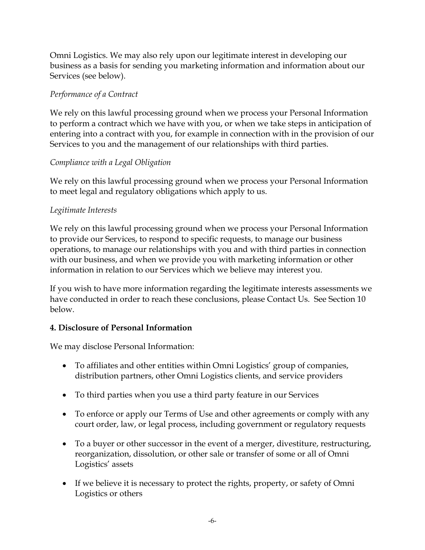Omni Logistics. We may also rely upon our legitimate interest in developing our business as a basis for sending you marketing information and information about our Services (see below).

# *Performance of a Contract*

We rely on this lawful processing ground when we process your Personal Information to perform a contract which we have with you, or when we take steps in anticipation of entering into a contract with you, for example in connection with in the provision of our Services to you and the management of our relationships with third parties.

# *Compliance with a Legal Obligation*

We rely on this lawful processing ground when we process your Personal Information to meet legal and regulatory obligations which apply to us.

# *Legitimate Interests*

We rely on this lawful processing ground when we process your Personal Information to provide our Services, to respond to specific requests, to manage our business operations, to manage our relationships with you and with third parties in connection with our business, and when we provide you with marketing information or other information in relation to our Services which we believe may interest you.

If you wish to have more information regarding the legitimate interests assessments we have conducted in order to reach these conclusions, please Contact Us. See Section 10 below.

# **4. Disclosure of Personal Information**

We may disclose Personal Information:

- To affiliates and other entities within Omni Logistics' group of companies, distribution partners, other Omni Logistics clients, and service providers
- To third parties when you use a third party feature in our Services
- To enforce or apply our Terms of Use and other agreements or comply with any court order, law, or legal process, including government or regulatory requests
- To a buyer or other successor in the event of a merger, divestiture, restructuring, reorganization, dissolution, or other sale or transfer of some or all of Omni Logistics' assets
- If we believe it is necessary to protect the rights, property, or safety of Omni Logistics or others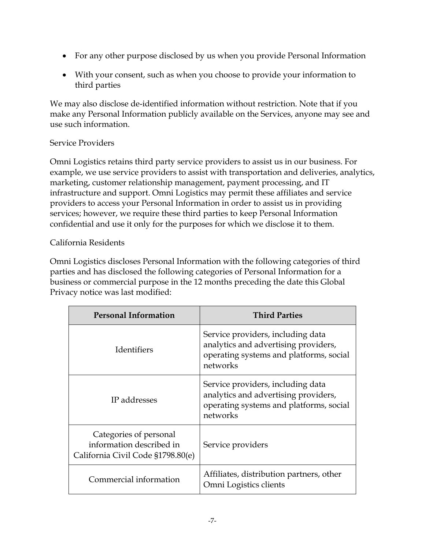- For any other purpose disclosed by us when you provide Personal Information
- With your consent, such as when you choose to provide your information to third parties

We may also disclose de-identified information without restriction. Note that if you make any Personal Information publicly available on the Services, anyone may see and use such information.

## Service Providers

Omni Logistics retains third party service providers to assist us in our business. For example, we use service providers to assist with transportation and deliveries, analytics, marketing, customer relationship management, payment processing, and IT infrastructure and support. Omni Logistics may permit these affiliates and service providers to access your Personal Information in order to assist us in providing services; however, we require these third parties to keep Personal Information confidential and use it only for the purposes for which we disclose it to them.

# California Residents

Omni Logistics discloses Personal Information with the following categories of third parties and has disclosed the following categories of Personal Information for a business or commercial purpose in the 12 months preceding the date this Global Privacy notice was last modified:

| <b>Personal Information</b>                                                             | <b>Third Parties</b>                                                                                                             |
|-----------------------------------------------------------------------------------------|----------------------------------------------------------------------------------------------------------------------------------|
| <b>Identifiers</b>                                                                      | Service providers, including data<br>analytics and advertising providers,<br>operating systems and platforms, social<br>networks |
| IP addresses                                                                            | Service providers, including data<br>analytics and advertising providers,<br>operating systems and platforms, social<br>networks |
| Categories of personal<br>information described in<br>California Civil Code §1798.80(e) | Service providers                                                                                                                |
| Commercial information                                                                  | Affiliates, distribution partners, other<br>Omni Logistics clients                                                               |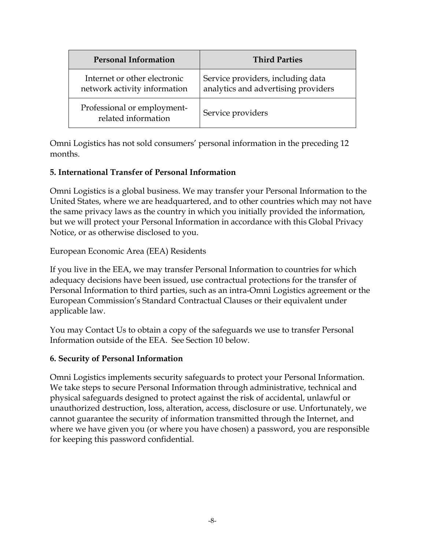| <b>Personal Information</b>                                  | <b>Third Parties</b>                                                     |
|--------------------------------------------------------------|--------------------------------------------------------------------------|
| Internet or other electronic<br>network activity information | Service providers, including data<br>analytics and advertising providers |
| Professional or employment-<br>related information           | Service providers                                                        |

Omni Logistics has not sold consumers' personal information in the preceding 12 months.

## **5. International Transfer of Personal Information**

Omni Logistics is a global business. We may transfer your Personal Information to the United States, where we are headquartered, and to other countries which may not have the same privacy laws as the country in which you initially provided the information, but we will protect your Personal Information in accordance with this Global Privacy Notice, or as otherwise disclosed to you.

European Economic Area (EEA) Residents

If you live in the EEA, we may transfer Personal Information to countries for which adequacy decisions have been issued, use contractual protections for the transfer of Personal Information to third parties, such as an intra-Omni Logistics agreement or the European Commission's Standard Contractual Clauses or their equivalent under applicable law.

You may Contact Us to obtain a copy of the safeguards we use to transfer Personal Information outside of the EEA. See Section 10 below.

### **6. Security of Personal Information**

Omni Logistics implements security safeguards to protect your Personal Information. We take steps to secure Personal Information through administrative, technical and physical safeguards designed to protect against the risk of accidental, unlawful or unauthorized destruction, loss, alteration, access, disclosure or use. Unfortunately, we cannot guarantee the security of information transmitted through the Internet, and where we have given you (or where you have chosen) a password, you are responsible for keeping this password confidential.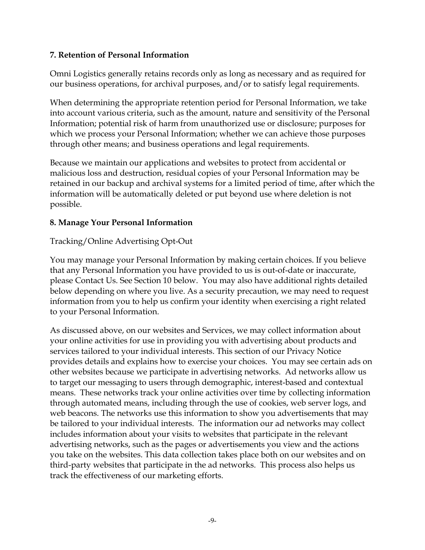### **7. Retention of Personal Information**

Omni Logistics generally retains records only as long as necessary and as required for our business operations, for archival purposes, and/or to satisfy legal requirements.

When determining the appropriate retention period for Personal Information, we take into account various criteria, such as the amount, nature and sensitivity of the Personal Information; potential risk of harm from unauthorized use or disclosure; purposes for which we process your Personal Information; whether we can achieve those purposes through other means; and business operations and legal requirements.

Because we maintain our applications and websites to protect from accidental or malicious loss and destruction, residual copies of your Personal Information may be retained in our backup and archival systems for a limited period of time, after which the information will be automatically deleted or put beyond use where deletion is not possible.

### **8. Manage Your Personal Information**

### Tracking/Online Advertising Opt-Out

You may manage your Personal Information by making certain choices. If you believe that any Personal Information you have provided to us is out-of-date or inaccurate, please Contact Us. See Section 10 below. You may also have additional rights detailed below depending on where you live. As a security precaution, we may need to request information from you to help us confirm your identity when exercising a right related to your Personal Information.

As discussed above, on our websites and Services, we may collect information about your online activities for use in providing you with advertising about products and services tailored to your individual interests. This section of our Privacy Notice provides details and explains how to exercise your choices. You may see certain ads on other websites because we participate in advertising networks. Ad networks allow us to target our messaging to users through demographic, interest-based and contextual means. These networks track your online activities over time by collecting information through automated means, including through the use of cookies, web server logs, and web beacons. The networks use this information to show you advertisements that may be tailored to your individual interests. The information our ad networks may collect includes information about your visits to websites that participate in the relevant advertising networks, such as the pages or advertisements you view and the actions you take on the websites. This data collection takes place both on our websites and on third-party websites that participate in the ad networks. This process also helps us track the effectiveness of our marketing efforts.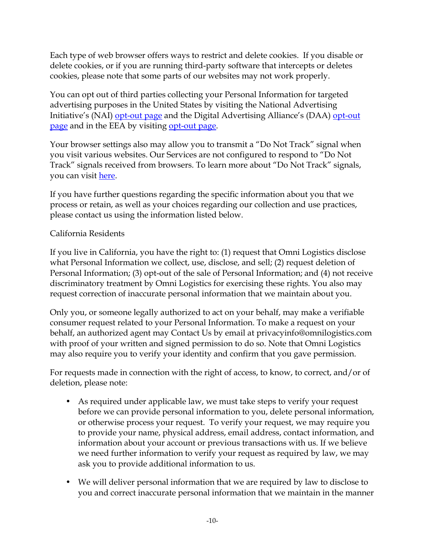Each type of web browser offers ways to restrict and delete cookies. If you disable or delete cookies, or if you are running third-party software that intercepts or deletes cookies, please note that some parts of our websites may not work properly.

You can opt out of third parties collecting your Personal Information for targeted advertising purposes in the United States by visiting the National Advertising Initiative's (NAI) [opt-out page](https://optout.networkadvertising.org/?c=1) and the Digital Advertising Alliance's (DAA) [opt-out](https://optout.aboutads.info/?lang=EN&c=2)  [page](https://optout.aboutads.info/?lang=EN&c=2) and in the EEA by visiting [opt-out page.](https://www.youronlinechoices.com/uk/your-ad-choices)

Your browser settings also may allow you to transmit a "Do Not Track" signal when you visit various websites. Our Services are not configured to respond to "Do Not Track" signals received from browsers. To learn more about "Do Not Track" signals, you can visit [here.](https://allaboutdnt.com/)

If you have further questions regarding the specific information about you that we process or retain, as well as your choices regarding our collection and use practices, please contact us using the information listed below.

## California Residents

If you live in California, you have the right to: (1) request that Omni Logistics disclose what Personal Information we collect, use, disclose, and sell; (2) request deletion of Personal Information; (3) opt-out of the sale of Personal Information; and (4) not receive discriminatory treatment by Omni Logistics for exercising these rights. You also may request correction of inaccurate personal information that we maintain about you.

Only you, or someone legally authorized to act on your behalf, may make a verifiable consumer request related to your Personal Information. To make a request on your behalf, an authorized agent may Contact Us by email at privacyinfo@omnilogistics.com with proof of your written and signed permission to do so. Note that Omni Logistics may also require you to verify your identity and confirm that you gave permission.

For requests made in connection with the right of access, to know, to correct, and/or of deletion, please note:

- As required under applicable law, we must take steps to verify your request before we can provide personal information to you, delete personal information, or otherwise process your request. To verify your request, we may require you to provide your name, physical address, email address, contact information, and information about your account or previous transactions with us. If we believe we need further information to verify your request as required by law, we may ask you to provide additional information to us.
- We will deliver personal information that we are required by law to disclose to you and correct inaccurate personal information that we maintain in the manner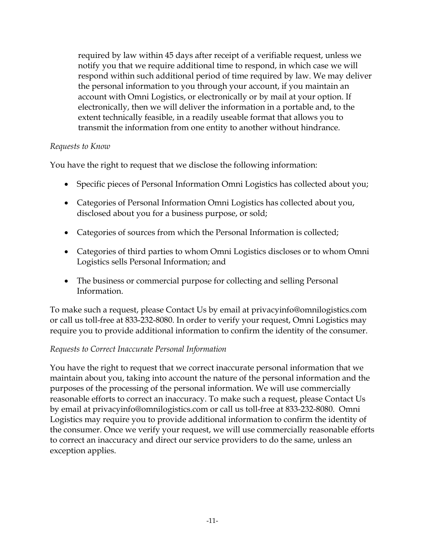required by law within 45 days after receipt of a verifiable request, unless we notify you that we require additional time to respond, in which case we will respond within such additional period of time required by law. We may deliver the personal information to you through your account, if you maintain an account with Omni Logistics, or electronically or by mail at your option. If electronically, then we will deliver the information in a portable and, to the extent technically feasible, in a readily useable format that allows you to transmit the information from one entity to another without hindrance.

### *Requests to Know*

You have the right to request that we disclose the following information:

- Specific pieces of Personal Information Omni Logistics has collected about you;
- Categories of Personal Information Omni Logistics has collected about you, disclosed about you for a business purpose, or sold;
- Categories of sources from which the Personal Information is collected;
- Categories of third parties to whom Omni Logistics discloses or to whom Omni Logistics sells Personal Information; and
- The business or commercial purpose for collecting and selling Personal Information.

To make such a request, please Contact Us by email at privacyinfo@omnilogistics.com or call us toll-free at 833-232-8080. In order to verify your request, Omni Logistics may require you to provide additional information to confirm the identity of the consumer.

### *Requests to Correct Inaccurate Personal Information*

You have the right to request that we correct inaccurate personal information that we maintain about you, taking into account the nature of the personal information and the purposes of the processing of the personal information. We will use commercially reasonable efforts to correct an inaccuracy. To make such a request, please Contact Us by email at privacyinfo@omnilogistics.com or call us toll-free at 833-232-8080. Omni Logistics may require you to provide additional information to confirm the identity of the consumer. Once we verify your request, we will use commercially reasonable efforts to correct an inaccuracy and direct our service providers to do the same, unless an exception applies.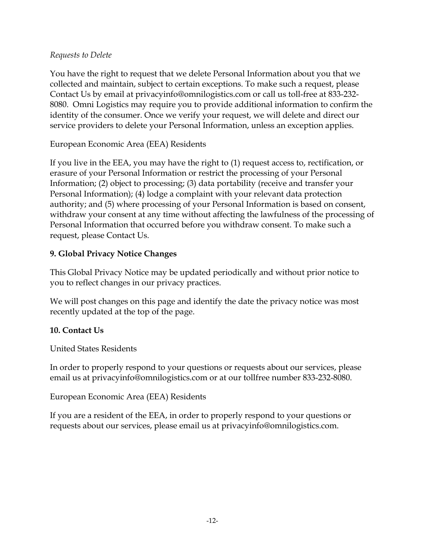### *Requests to Delete*

You have the right to request that we delete Personal Information about you that we collected and maintain, subject to certain exceptions. To make such a request, please Contact Us by email at privacyinfo@omnilogistics.com or call us toll-free at 833-232- 8080. Omni Logistics may require you to provide additional information to confirm the identity of the consumer. Once we verify your request, we will delete and direct our service providers to delete your Personal Information, unless an exception applies.

European Economic Area (EEA) Residents

If you live in the EEA, you may have the right to (1) request access to, rectification, or erasure of your Personal Information or restrict the processing of your Personal Information; (2) object to processing; (3) data portability (receive and transfer your Personal Information); (4) lodge a complaint with your relevant data protection authority; and (5) where processing of your Personal Information is based on consent, withdraw your consent at any time without affecting the lawfulness of the processing of Personal Information that occurred before you withdraw consent. To make such a request, please Contact Us.

### **9. Global Privacy Notice Changes**

This Global Privacy Notice may be updated periodically and without prior notice to you to reflect changes in our privacy practices.

We will post changes on this page and identify the date the privacy notice was most recently updated at the top of the page.

### **10. Contact Us**

United States Residents

In order to properly respond to your questions or requests about our services, please email us at privacyinfo@omnilogistics.com or at our tollfree number 833-232-8080.

#### European Economic Area (EEA) Residents

If you are a resident of the EEA, in order to properly respond to your questions or requests about our services, please email us at privacyinfo@omnilogistics.com.